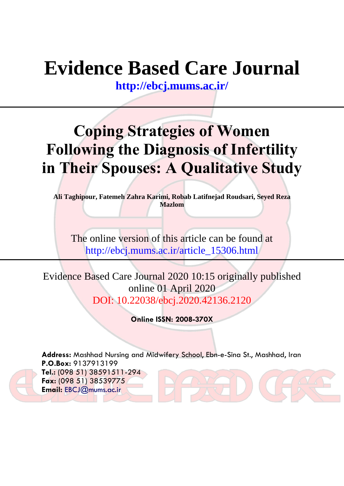# **Evidence Based Care Journal**

**<http://ebcj.mums.ac.ir/>**

## **Coping Strategies of Women Following the Diagnosis of Infertility in Their Spouses: A Qualitative Study**

**Ali Taghipour, Fatemeh Zahra Karimi, Robab Latifnejad Roudsari, Seyed Reza Mazlom**

The online version of this article can be found at http://ebcj.mums.ac.ir/article\_15306.html

Evidence Based Care Journal 2020 10:15 originally published online 01 April 2020 DOI: 10.22038/ebcj.2020.42136.2120

**Online ISSN: 2008-370X**

**Address:** Mashhad Nursing and Midwifery School, Ebn-e-Sina St., Mashhad, Iran **P.O.Box:** 9137913199 **Tel.:** (098 51) 38591511-294 **Fax:** (098 51) 38539775 **Email:** [EBCJ@mums.ac.ir](mailto:EBCJ@mums.ac.ir)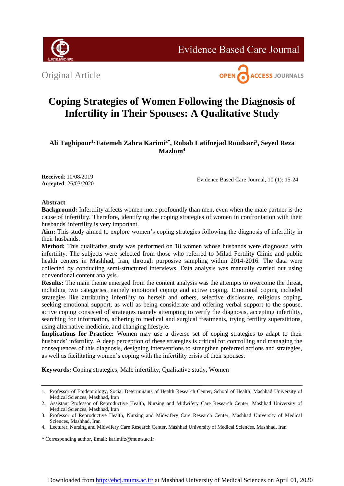

**Evidence Based Care Journal** 





### **Coping Strategies of Women Following the Diagnosis of Infertility in Their Spouses: A Qualitative Study**

**Ali Taghipour1, Fatemeh Zahra Karimi2\*, Robab Latifnejad Roudsari<sup>3</sup> , Seyed Reza Mazlom<sup>4</sup>**

**Received**: 10/08/2019 **Accepted**: 26/03/2020

Evidence Based Care Journal, 10 (1): 15-24

#### **Abstract**

**Background:** Infertility affects women more profoundly than men, even when the male partner is the cause of infertility. Therefore, identifying the coping strategies of women in confrontation with their husbands' infertility is very important.

**Aim:** This study aimed to explore women's coping strategies following the diagnosis of infertility in their husbands.

**Method:** This qualitative study was performed on 18 women whose husbands were diagnosed with infertility. The subjects were selected from those who referred to Milad Fertility Clinic and public health centers in Mashhad, Iran, through purposive sampling within 2014-2016. The data were collected by conducting semi-structured interviews. Data analysis was manually carried out using conventional content analysis.

**Results:** The main theme emerged from the content analysis was the attempts to overcome the threat, including two categories, namely emotional coping and active coping. Emotional coping included strategies like attributing infertility to herself and others, selective disclosure, religious coping, seeking emotional support, as well as being considerate and offering verbal support to the spouse. active coping consisted of strategies namely attempting to verify the diagnosis, accepting infertility, searching for information, adhering to medical and surgical treatments, trying fertility superstitions, using alternative medicine, and changing lifestyle.

**Implications for Practice:** Women may use a diverse set of coping strategies to adapt to their husbands' infertility. A deep perception of these strategies is critical for controlling and managing the consequences of this diagnosis, designing interventions to strengthen preferred actions and strategies, as well as facilitating women's coping with the infertility crisis of their spouses.

**Keywords:** Coping strategies, Male infertility, Qualitative study, Women

<sup>1.</sup> Professor of Epidemiology, Social Determinants of Health Research Center, School of Health, Mashhad University of Medical Sciences, Mashhad, Iran

<sup>2.</sup> Assistant Professor of Reproductive Health, Nursing and Midwifery Care Research Center, Mashhad University of Medical Sciences, Mashhad, Iran

<sup>3.</sup> Professor of Reproductive Health, Nursing and Midwifery Care Research Center, Mashhad University of Medical Sciences, Mashhad, Iran

<sup>4.</sup> Lecturer, Nursing and Midwifery Care Research Center, Mashhad University of Medical Sciences, Mashhad, Iran

<sup>\*</sup> Corresponding author, Email: karimifz@mums.ac.ir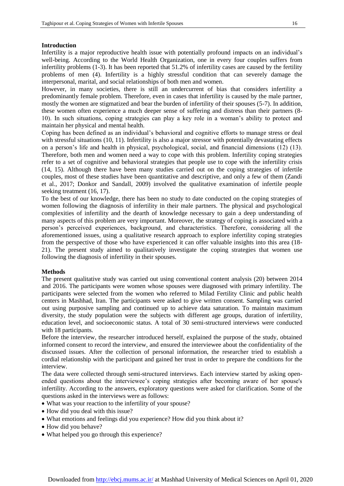#### **Introduction**

Infertility is a major reproductive health issue with potentially profound impacts on an individual's well-being. According to the World Health Organization, one in every four couples suffers from infertility problems (1-3). It has been reported that 51.2% of infertility cases are caused by the fertility problems of men (4). Infertility is a highly stressful condition that can severely damage the interpersonal, marital, and social relationships of both men and women.

However, in many societies, there is still an undercurrent of bias that considers infertility a predominantly female problem. Therefore, even in cases that infertility is caused by the male partner, mostly the women are stigmatized and bear the burden of infertility of their spouses (5-7). In addition, these women often experience a much deeper sense of suffering and distress than their partners (8- 10). In such situations, coping strategies can play a key role in a woman's ability to protect and maintain her physical and mental health.

Coping has been defined as an individual's behavioral and cognitive efforts to manage stress or deal with stressful situations (10, 11). Infertility is also a major stressor with potentially devastating effects on a person's life and health in physical, psychological, social, and financial dimensions (12) (13). Therefore, both men and women need a way to cope with this problem. Infertility coping strategies refer to a set of cognitive and behavioral strategies that people use to cope with the infertility crisis (14, 15). Although there have been many studies carried out on the coping strategies of infertile couples, most of these studies have been quantitative and descriptive, and only a few of them (Zandi et al., 2017; Donkor and Sandall, 2009) involved the qualitative examination of infertile people seeking treatment (16, 17).

To the best of our knowledge, there has been no study to date conducted on the coping strategies of women following the diagnosis of infertility in their male partners. The physical and psychological complexities of infertility and the dearth of knowledge necessary to gain a deep understanding of many aspects of this problem are very important. Moreover, the strategy of coping is associated with a person's perceived experiences, background, and characteristics. Therefore, considering all the aforementioned issues, using a qualitative research approach to explore infertility coping strategies from the perspective of those who have experienced it can offer valuable insights into this area (18- 21). The present study aimed to qualitatively investigate the coping strategies that women use following the diagnosis of infertility in their spouses.

#### **Methods**

The present qualitative study was carried out using conventional content analysis (20) between 2014 and 2016. The participants were women whose spouses were diagnosed with primary infertility. The participants were selected from the women who referred to Milad Fertility Clinic and public health centers in Mashhad, Iran. The participants were asked to give written consent. Sampling was carried out using purposive sampling and continued up to achieve data saturation. To maintain maximum diversity, the study population were the subjects with different age groups, duration of infertility, education level, and socioeconomic status. A total of 30 semi-structured interviews were conducted with 18 participants.

Before the interview, the researcher introduced herself, explained the purpose of the study, obtained informed consent to record the interview, and ensured the interviewee about the confidentiality of the discussed issues. After the collection of personal information, the researcher tried to establish a cordial relationship with the participant and gained her trust in order to prepare the conditions for the interview.

The data were collected through semi-structured interviews. Each interview started by asking openended questions about the interviewee's coping strategies after becoming aware of her spouse's infertility. According to the answers, exploratory questions were asked for clarification. Some of the questions asked in the interviews were as follows:

- What was your reaction to the infertility of your spouse?
- How did you deal with this issue?
- What emotions and feelings did you experience? How did you think about it?
- How did you behave?
- What helped you go through this experience?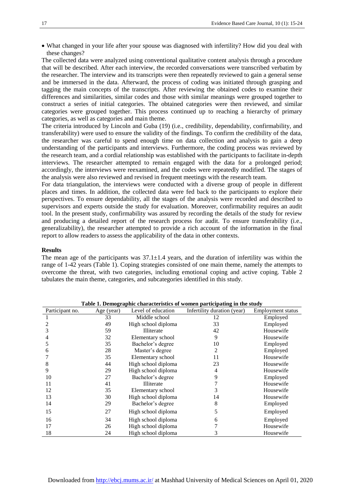What changed in your life after your spouse was diagnosed with infertility? How did you deal with these changes?

The collected data were analyzed using conventional qualitative content analysis through a procedure that will be described. After each interview, the recorded conversations were transcribed verbatim by the researcher. The interview and its transcripts were then repeatedly reviewed to gain a general sense and be immersed in the data. Afterward, the process of coding was initiated through grasping and tagging the main concepts of the transcripts. After reviewing the obtained codes to examine their differences and similarities, similar codes and those with similar meanings were grouped together to construct a series of initial categories. The obtained categories were then reviewed, and similar categories were grouped together. This process continued up to reaching a hierarchy of primary categories, as well as categories and main theme.

The criteria introduced by Lincoln and Guba (19) (i.e., credibility, dependability, confirmability, and transferability) were used to ensure the validity of the findings. To confirm the credibility of the data, the researcher was careful to spend enough time on data collection and analysis to gain a deep understanding of the participants and interviews. Furthermore, the coding process was reviewed by the research team, and a cordial relationship was established with the participants to facilitate in-depth interviews. The researcher attempted to remain engaged with the data for a prolonged period; accordingly, the interviews were reexamined, and the codes were repeatedly modified. The stages of the analysis were also reviewed and revised in frequent meetings with the research team.

For data triangulation, the interviews were conducted with a diverse group of people in different places and times. In addition, the collected data were fed back to the participants to explore their perspectives. To ensure dependability, all the stages of the analysis were recorded and described to supervisors and experts outside the study for evaluation. Moreover, confirmability requires an audit tool. In the present study, confirmability was assured by recording the details of the study for review and producing a detailed report of the research process for audit. To ensure transferability (i.e., generalizability), the researcher attempted to provide a rich account of the information in the final report to allow readers to assess the applicability of the data in other contexts.

#### **Results**

The mean age of the participants was  $37.1 \pm 1.4$  years, and the duration of infertility was within the range of 1-42 years (Table 1). Coping strategies consisted of one main theme, namely the attempts to overcome the threat, with two categories, including emotional coping and active coping. Table 2 tabulates the main theme, categories, and subcategories identified in this study.

| Participant no. | Age (year) | Level of education  | Infertility duration (year) | <b>Employment</b> status |
|-----------------|------------|---------------------|-----------------------------|--------------------------|
|                 | 33         | Middle school       | 12                          | Employed                 |
|                 | 49         | High school diploma | 33                          | Employed                 |
| 3               | 59         | Illiterate          | 42                          | Housewife                |
| 4               | 32         | Elementary school   | 9                           | Housewife                |
| 5               | 35         | Bachelor's degree   | 10                          | Employed                 |
| 6               | 28         | Master's degree     | 2                           | Employed                 |
|                 | 35         | Elementary school   | 11                          | Housewife                |
| 8               | 44         | High school diploma | 23                          | Housewife                |
| 9               | 29         | High school diploma | 4                           | Housewife                |
| 10              | 27         | Bachelor's degree   | 9                           | Employed                 |
| 11              | 41         | Illiterate          |                             | Housewife                |
| 12              | 35         | Elementary school   | 3                           | Housewife                |
| 13              | 30         | High school diploma | 14                          | Housewife                |
| 14              | 29         | Bachelor's degree   | 8                           | Employed                 |
| 15              | 27         | High school diploma | 5                           | Employed                 |
| 16              | 34         | High school diploma | 6                           | Employed                 |
| 17              | 26         | High school diploma |                             | Housewife                |
| 18              | 24         | High school diploma | 3                           | Housewife                |

**Table 1. Demographic characteristics of women participating in the study**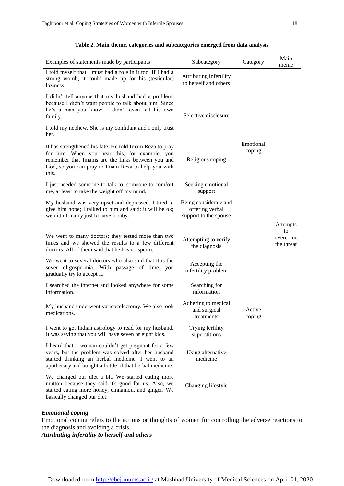| Examples of statements made by participants                                                                                                                                                                                  | Subcategory                                                       | Category            | Main<br>theme                            |
|------------------------------------------------------------------------------------------------------------------------------------------------------------------------------------------------------------------------------|-------------------------------------------------------------------|---------------------|------------------------------------------|
| I told myself that I must had a role in it too. If I had a<br>strong womb, it could made up for his (testicular)<br>laziness.                                                                                                | Attributing infertility<br>to herself and others                  |                     |                                          |
| I didn't tell anyone that my husband had a problem,<br>because I didn't want people to talk about him. Since<br>he's a man you know, I didn't even tell his own<br>family.                                                   | Selective disclosure                                              |                     |                                          |
| I told my nephew. She is my confidant and I only trust<br>her.                                                                                                                                                               |                                                                   |                     |                                          |
| It has strengthened his fate. He told Imam Reza to pray<br>for him. When you hear this, for example, you<br>remember that Imams are the links between you and<br>God, so you can pray to Imam Reza to help you with<br>this. | Religious coping                                                  | Emotional<br>coping |                                          |
| I just needed someone to talk to, someone to comfort<br>me, at least to take the weight off my mind.                                                                                                                         | Seeking emotional<br>support                                      |                     |                                          |
| My husband was very upset and depressed. I tried to<br>give him hope; I talked to him and said: it will be ok;<br>we didn't marry just to have a baby.                                                                       | Being considerate and<br>offering verbal<br>support to the spouse |                     |                                          |
| We went to many doctors; they tested more than two<br>times and we showed the results to a few different<br>doctors. All of them said that he has no sperm.                                                                  | Attempting to verify<br>the diagnosis                             |                     | Attempts<br>to<br>overcome<br>the threat |
| We went to several doctors who also said that it is the<br>sever oligospermia. With passage of time, you<br>gradually try to accept it.                                                                                      | Accepting the<br>infertility problem                              |                     |                                          |
| I searched the internet and looked anywhere for some<br>information.                                                                                                                                                         | Searching for<br>information                                      |                     |                                          |
| My husband underwent varicocelectomy. We also took<br>medications.                                                                                                                                                           | Adhering to medical<br>and surgical<br>treatments                 | Active<br>coping    |                                          |
| I went to get Indian astrology to read for my husband.<br>It was saying that you will have seven or eight kids.                                                                                                              | Trying fertility<br>superstitions                                 |                     |                                          |
| I heard that a woman couldn't get pregnant for a few<br>years, but the problem was solved after her husband<br>started drinking an herbal medicine. I went to an<br>apothecary and bought a bottle of that herbal medicine.  | Using alternative<br>medicine                                     |                     |                                          |
| We changed our diet a bit. We started eating more<br>mutton because they said it's good for us. Also, we<br>started eating more honey, cinnamon, and ginger. We<br>basically changed our diet.                               | Changing lifestyle                                                |                     |                                          |

#### **Table 2. Main theme, categories and subcategories emerged from data analysis**

#### *Emotional coping*

Emotional coping refers to the actions or thoughts of women for controlling the adverse reactions to the diagnosis and avoiding a crisis.

*Attributing infertility to herself and others*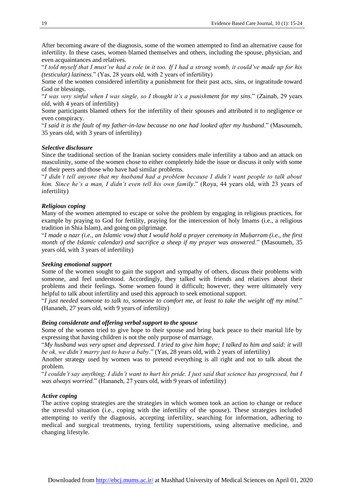After becoming aware of the diagnosis, some of the women attempted to find an alternative cause for infertility. In these cases, women blamed themselves and others, including the spouse, physician, and even acquaintances and relatives.

"*I told myself that I must've had a role in it too. If I had a strong womb, it could've made up for his (testicular) laziness*." (Yas, 28 years old, with 2 years of infertility)

Some of the women considered infertility a punishment for their past acts, sins, or ingratitude toward God or blessings.

"*I was very sinful when I was single, so I thought it's a punishment for my sins*." (Zainab, 29 years old, with 4 years of infertility)

Some participants blamed others for the infertility of their spouses and attributed it to negligence or even conspiracy.

"*I said it is the fault of my father-in-law because no one had looked after my husband*." (Masoumeh, 35 years old, with 3 years of infertility)

#### *Selective disclosure*

Since the traditional section of the Iranian society considers male infertility a taboo and an attack on masculinity, some of the women chose to either completely hide the issue or discuss it only with some of their peers and those who have had similar problems.

"*I didn't tell anyone that my husband had a problem because I didn't want people to talk about him. Since he's a man, I didn't even tell his own family*." (Roya, 44 years old, with 23 years of infertility)

#### *Religious coping*

Many of the women attempted to escape or solve the problem by engaging in religious practices, for example by praying to God for fertility, praying for the intercession of holy Imams (i.e., a religious tradition in Shia Islam), and going on pilgrimage.

"*I made a nazr (i.e., an Islamic vow) that I would hold a prayer ceremony in Muḥarram (i.e., the first month of the Islamic calendar) and sacrifice a sheep if my prayer was answered*." (Masoumeh, 35 years old, with 3 years of infertility)

#### *Seeking emotional support*

Some of the women sought to gain the support and sympathy of others, discuss their problems with someone, and feel understood. Accordingly, they talked with friends and relatives about their problems and their feelings. Some women found it difficult; however, they were ultimately very helpful to talk about infertility and used this approach to seek emotional support.

"*I just needed someone to talk to, someone to comfort me, at least to take the weight off my mind*." (Hananeh, 27 years old, with 9 years of infertility)

#### *Being considerate and offering verbal support to the spouse*

Some of the women tried to give hope to their spouse and bring back peace to their marital life by expressing that having children is not the only purpose of marriage.

"*My husband was very upset and depressed. I tried to give him hope; I talked to him and said: it will be ok, we didn't marry just to have a baby*." (Yas, 28 years old, with 2 years of infertility)

Another strategy used by women was to pretend everything is all right and not to talk about the problem.

"*I couldn't say anything; I didn't want to hurt his pride. I just said that science has progressed, but I was always worried*." (Hananeh, 27 years old, with 9 years of infertility)

#### *Active coping*

The active coping strategies are the strategies in which women took an action to change or reduce the stressful situation (i.e., coping with the infertility of the spouse). These strategies included attempting to verify the diagnosis, accepting infertility, searching for information, adhering to medical and surgical treatments, trying fertility superstitions, using alternative medicine, and changing lifestyle.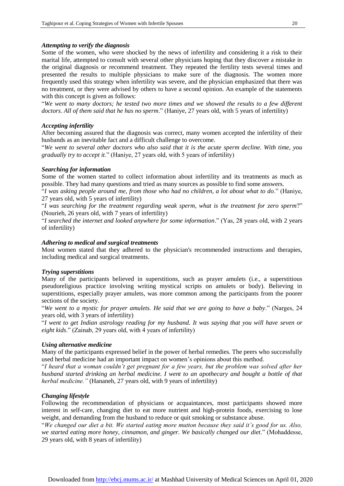#### *Attempting to verify the diagnosis*

Some of the women, who were shocked by the news of infertility and considering it a risk to their marital life, attempted to consult with several other physicians hoping that they discover a mistake in the original diagnosis or recommend treatment. They repeated the fertility tests several times and presented the results to multiple physicians to make sure of the diagnosis. The women more frequently used this strategy when infertility was severe, and the physician emphasized that there was no treatment, or they were advised by others to have a second opinion. An example of the statements with this concept is given as follows:

"*We went to many doctors; he tested two more times and we showed the results to a few different doctors. All of them said that he has no sperm*." (Haniye, 27 years old, with 5 years of infertility)

#### *Accepting infertility*

After becoming assured that the diagnosis was correct, many women accepted the infertility of their husbands as an inevitable fact and a difficult challenge to overcome.

"*We went to several other doctors who also said that it is the acute sperm decline. With time, you gradually try to accept it*." (Haniye, 27 years old, with 5 years of infertility)

#### *Searching for information*

Some of the women started to collect information about infertility and its treatments as much as possible. They had many questions and tried as many sources as possible to find some answers.

"*I was asking people around me, from those who had no children, a lot about what to do*." (Haniye, 27 years old, with 5 years of infertility)

"*I was searching for the treatment regarding weak sperm, what is the treatment for zero sperm*?" (Nourieh, 26 years old, with 7 years of infertility)

"*I searched the internet and looked anywhere for some information*." (Yas, 28 years old, with 2 years of infertility)

#### *Adhering to medical and surgical treatments*

Most women stated that they adhered to the physician's recommended instructions and therapies, including medical and surgical treatments.

#### *Trying superstitions*

Many of the participants believed in superstitions, such as prayer amulets (i.e., a superstitious pseudoreligious practice involving writing mystical scripts on amulets or body). Believing in superstitions, especially prayer amulets, was more common among the participants from the poorer sections of the society.

"*We went to a mystic for prayer amulets. He said that we are going to have a baby*." (Narges, 24 years old, with 3 years of infertility)

"*I went to get Indian astrology reading for my husband. It was saying that you will have seven or eight kids*." (Zainab, 29 years old, with 4 years of infertility)

#### *Using alternative medicine*

Many of the participants expressed belief in the power of herbal remedies. The peers who successfully used herbal medicine had an important impact on women's opinions about this method.

"*I heard that a woman couldn't get pregnant for a few years, but the problem was solved after her husband started drinking an herbal medicine. I went to an apothecary and bought a bottle of that herbal medicine."* (Hananeh, 27 years old, with 9 years of infertility)

#### *Changing lifestyle*

Following the recommendation of physicians or acquaintances, most participants showed more interest in self-care, changing diet to eat more nutrient and high-protein foods, exercising to lose weight, and demanding from the husband to reduce or quit smoking or substance abuse.

"*We changed our diet a bit. We started eating more mutton because they said it's good for us. Also, we started eating more honey, cinnamon, and ginger. We basically changed our diet*." (Mohaddesse, 29 years old, with 8 years of infertility)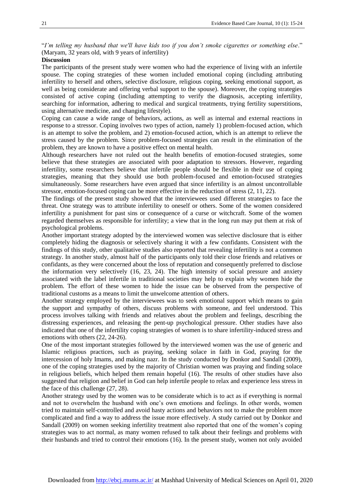"*I'm telling my husband that we'll have kids too if you don't smoke cigarettes or something else*." (Maryam, 32 years old, with 9 years of infertility)

#### **Discussion**

The participants of the present study were women who had the experience of living with an infertile spouse. The coping strategies of these women included emotional coping (including attributing infertility to herself and others, selective disclosure, religious coping, seeking emotional support, as well as being considerate and offering verbal support to the spouse). Moreover, the coping strategies consisted of active coping (including attempting to verify the diagnosis, accepting infertility, searching for information, adhering to medical and surgical treatments, trying fertility superstitions, using alternative medicine, and changing lifestyle).

Coping can cause a wide range of behaviors, actions, as well as internal and external reactions in response to a stressor. Coping involves two types of action, namely 1) problem-focused action, which is an attempt to solve the problem, and 2) emotion-focused action, which is an attempt to relieve the stress caused by the problem. Since problem-focused strategies can result in the elimination of the problem, they are known to have a positive effect on mental health.

Although researchers have not ruled out the health benefits of emotion-focused strategies, some believe that these strategies are associated with poor adaptation to stressors. However, regarding infertility, some researchers believe that infertile people should be flexible in their use of coping strategies, meaning that they should use both problem-focused and emotion-focused strategies simultaneously. Some researchers have even argued that since infertility is an almost uncontrollable stressor, emotion-focused coping can be more effective in the reduction of stress (2, 11, 22).

The findings of the present study showed that the interviewees used different strategies to face the threat. One strategy was to attribute infertility to oneself or others. Some of the women considered infertility a punishment for past sins or consequence of a curse or witchcraft. Some of the women regarded themselves as responsible for infertility; a view that in the long run may put them at risk of psychological problems.

Another important strategy adopted by the interviewed women was selective disclosure that is either completely hiding the diagnosis or selectively sharing it with a few confidants. Consistent with the findings of this study, other qualitative studies also reported that revealing infertility is not a common strategy. In another study, almost half of the participants only told their close friends and relatives or confidants, as they were concerned about the loss of reputation and consequently preferred to disclose the information very selectively (16, 23, 24). The high intensity of social pressure and anxiety associated with the label infertile in traditional societies may help to explain why women hide the problem. The effort of these women to hide the issue can be observed from the perspective of traditional customs as a means to limit the unwelcome attention of others.

Another strategy employed by the interviewees was to seek emotional support which means to gain the support and sympathy of others, discuss problems with someone, and feel understood. This process involves talking with friends and relatives about the problem and feelings, describing the distressing experiences, and releasing the pent-up psychological pressure. Other studies have also indicated that one of the infertility coping strategies of women is to share infertility-induced stress and emotions with others (22, 24-26).

One of the most important strategies followed by the interviewed women was the use of generic and Islamic religious practices, such as praying, seeking solace in faith in God, praying for the intercession of holy Imams, and making nazr. In the study conducted by Donkor and Sandall (2009), one of the coping strategies used by the majority of Christian women was praying and finding solace in religious beliefs, which helped them remain hopeful (16). The results of other studies have also suggested that religion and belief in God can help infertile people to relax and experience less stress in the face of this challenge (27, 28).

Another strategy used by the women was to be considerate which is to act as if everything is normal and not to overwhelm the husband with one's own emotions and feelings. In other words, women tried to maintain self-controlled and avoid hasty actions and behaviors not to make the problem more complicated and find a way to address the issue more effectively. A study carried out by Donkor and Sandall (2009) on women seeking infertility treatment also reported that one of the women's coping strategies was to act normal, as many women refused to talk about their feelings and problems with their husbands and tried to control their emotions (16). In the present study, women not only avoided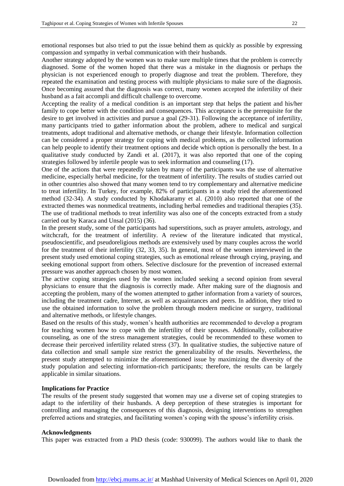emotional responses but also tried to put the issue behind them as quickly as possible by expressing compassion and sympathy in verbal communication with their husbands.

Another strategy adopted by the women was to make sure multiple times that the problem is correctly diagnosed. Some of the women hoped that there was a mistake in the diagnosis or perhaps the physician is not experienced enough to properly diagnose and treat the problem. Therefore, they repeated the examination and testing process with multiple physicians to make sure of the diagnosis. Once becoming assured that the diagnosis was correct, many women accepted the infertility of their husband as a fait accompli and difficult challenge to overcome.

Accepting the reality of a medical condition is an important step that helps the patient and his/her family to cope better with the condition and consequences. This acceptance is the prerequisite for the desire to get involved in activities and pursue a goal (29-31). Following the acceptance of infertility, many participants tried to gather information about the problem, adhere to medical and surgical treatments, adopt traditional and alternative methods, or change their lifestyle. Information collection can be considered a proper strategy for coping with medical problems, as the collected information can help people to identify their treatment options and decide which option is personally the best. In a qualitative study conducted by Zandi et al. (2017), it was also reported that one of the coping strategies followed by infertile people was to seek information and counseling (17).

One of the actions that were repeatedly taken by many of the participants was the use of alternative medicine, especially herbal medicine, for the treatment of infertility. The results of studies carried out in other countries also showed that many women tend to try complementary and alternative medicine to treat infertility. In Turkey, for example, 82% of participants in a study tried the aforementioned method (32-34). A study conducted by Khodakaramy et al. (2010) also reported that one of the extracted themes was nonmedical treatments, including herbal remedies and traditional therapies (35). The use of traditional methods to treat infertility was also one of the concepts extracted from a study carried out by Karaca and Unsal (2015) (36).

In the present study, some of the participants had superstitions, such as prayer amulets, astrology, and witchcraft, for the treatment of infertility. A review of the literature indicated that mystical, pseudoscientific, and pseudoreligious methods are extensively used by many couples across the world for the treatment of their infertility (32, 33, 35). In general, most of the women interviewed in the present study used emotional coping strategies, such as emotional release through crying, praying, and seeking emotional support from others. Selective disclosure for the prevention of increased external pressure was another approach chosen by most women.

The active coping strategies used by the women included seeking a second opinion from several physicians to ensure that the diagnosis is correctly made. After making sure of the diagnosis and accepting the problem, many of the women attempted to gather information from a variety of sources, including the treatment cadre, Internet, as well as acquaintances and peers. In addition, they tried to use the obtained information to solve the problem through modern medicine or surgery, traditional and alternative methods, or lifestyle changes.

Based on the results of this study, women's health authorities are recommended to develop a program for teaching women how to cope with the infertility of their spouses. Additionally, collaborative counseling, as one of the stress management strategies, could be recommended to these women to decrease their perceived infertility related stress (37). In qualitative studies, the subjective nature of data collection and small sample size restrict the generalizability of the results. Nevertheless, the present study attempted to minimize the aforementioned issue by maximizing the diversity of the study population and selecting information-rich participants; therefore, the results can be largely applicable in similar situations.

#### **Implications for Practice**

The results of the present study suggested that women may use a diverse set of coping strategies to adapt to the infertility of their husbands. A deep perception of these strategies is important for controlling and managing the consequences of this diagnosis, designing interventions to strengthen preferred actions and strategies, and facilitating women's coping with the spouse's infertility crisis.

#### **Acknowledgments**

This paper was extracted from a PhD thesis (code: 930099). The authors would like to thank the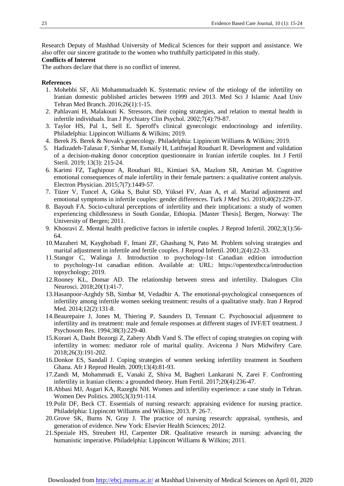Research Deputy of Mashhad University of Medical Sciences for their support and assistance. We also offer our sincere gratitude to the women who truthfully participated in this study.

#### **Conflicts of Interest**

The authors declare that there is no conflict of interest.

#### **References**

- 1. Mohebbi SF, Ali Mohammadzadeh K. Systematic review of the etiology of the infertility on Iranian domestic published articles between 1999 and 2013. Med Sci J Islamic Azad Univ Tehran Med Branch. 2016;26(1):1-15.
- 2. Pahlavani H, Malakouti K. Stressors, their coping strategies, and relation to mental health in infertile individuals. Iran J Psychiatry Clin Psychol. 2002;7(4):79-87.
- 3. Taylor HS, Pal L, Sell E. Speroff's clinical gynecologic endocrinology and infertility. Philadelphia: Lippincott Williams & Wilkins; 2019.
- 4. Berek JS. Berek & Novak's gynecology. Philadelphia: Lippincott Williams & Wilkins; 2019.
- 5. Hadizadeh-Talasaz F, Simbar M, Esmaily H, Latifnejad Roudsari R. Development and validation of a decision-making donor conception questionnaire in Iranian infertile couples. Int J Fertil Steril. 2019; 13(3): 215-24.
- 6. Karimi FZ, Taghipour A, Roudsari RL, Kimiaei SA, Mazlom SR, Amirian M. Cognitive emotional consequences of male infertility in their female partners: a qualitative content analysis. Electron Physician. 2015;7(7):1449-57.
- 7. Tüzer V, Tuncel A, Göka S, Bulut SD, Yüksel FV, Atan A, et al. Marital adjustment and emotional symptoms in infertile couples: gender differences. Turk J Med Sci. 2010;40(2):229-37.
- 8. Bayouh FA. Socio-cultural perceptions of infertility and their implications: a study of women experiencing childlessness in South Gondar, Ethiopia. [Master Thesis]. Bergen, Norway: The University of Bergen; 2011.
- 9. Khosravi Z. Mental health predictive factors in infertile couples. J Reprod Infertil. 2002;3(1):56- 64.
- 10.Mazaheri M, Kayghobadi F, Imani ZF, Ghashang N, Pato M. Problem solving strategies and marital adjustment in infertile and fertile couples. J Reprod Infertil. 2001;2(4):22-33.
- 11.Stangor C, Walinga J. Introduction to psychology-1st Canadian edition introduction to psychology-1st canadian edition. Available at: URL: [https://opentextbcc](https://opentextbc/)a/introduction topsychology; 2019.
- 12.Rooney KL, Domar AD. The relationship between stress and infertility. Dialogues Clin Neurosci. 2018;20(1):41-7.
- 13.Hasanpoor-Azghdy SB, Simbar M, Vedadhir A. The emotional-psychological consequences of infertility among infertile women seeking treatment: results of a qualitative study. Iran J Reprod Med. 2014;12(2):131-8.
- 14.Beaurepaire J, Jones M, Thiering P, Saunders D, Tennant C. Psychosocial adjustment to infertility and its treatment: male and female responses at different stages of IVF/ET treatment. J Psychosom Res. 1994;38(3):229-40.
- 15.Koraei A, Dasht Bozorgi Z, Zahery Abdh Vand S. The effect of coping strategies on coping with infertility in women: mediator role of marital quality. Avicenna J Nurs Midwifery Care. 2018;26(3):191-202.
- 16.Donkor ES, Sandall J. Coping strategies of women seeking infertility treatment in Southern Ghana. Afr J Reprod Health. 2009;13(4):81-93.
- 17.Zandi M, Mohammadi E, Vanaki Z, Shiva M, Bagheri Lankarani N, Zarei F. Confronting infertility in Iranian clients: a grounded theory. Hum Fertil. 2017;20(4):236-47.
- 18.Abbasi MJ, Asgari KA, Razeghi NH. Women and infertility experience: a case study in Tehran. Women Dev Politics. 2005;3(3):91-114.
- 19.Polit DF, Beck CT. Essentials of nursing research: appraising evidence for nursing practice. Philadelphia: Lippincott Williams and Wilkins; 2013. P. 26-7.
- 20.Grove SK, Burns N, Gray J. The practice of nursing research: appraisal, synthesis, and generation of evidence. New York: Elsevier Health Sciences; 2012.
- 21.Speziale HS, Streubert HJ, Carpenter DR. Qualitative research in nursing: advancing the humanistic imperative. Philadelphia: Lippincott Williams & Wilkins; 2011.